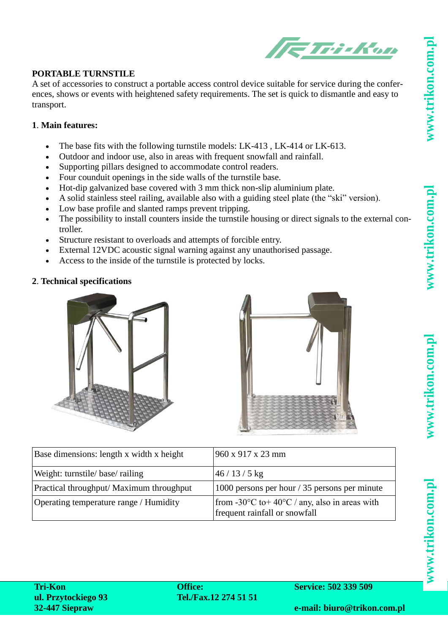vww.trikon.com.pl



## **PORTABLE TURNSTILE**

A set of accessories to construct a portable access control device suitable for service during the conferences, shows or events with heightened safety requirements. The set is quick to dismantle and easy to transport.

## **1**. **Main features:**

- The base fits with the following turnstile models: LK-413 , LK-414 or LK-613.
- Outdoor and indoor use, also in areas with frequent snowfall and rainfall.
- Supporting pillars designed to accommodate control readers.
- Four counduit openings in the side walls of the turnstile base.
- Hot-dip galvanized base covered with 3 mm thick non-slip aluminium plate.
- A solid stainless steel railing, available also with a guiding steel plate (the "ski" version).
- Low base profile and slanted ramps prevent tripping.
- The possibility to install counters inside the turnstile housing or direct signals to the external controller.
- Structure resistant to overloads and attempts of forcible entry.
- External 12VDC acoustic signal warning against any unauthorised passage.
- Access to the inside of the turnstile is protected by locks.

## **2**. **Technical specifications**





| Base dimensions: length x width x height | 960 x 917 x 23 mm                                                                                    |
|------------------------------------------|------------------------------------------------------------------------------------------------------|
| Weight: turnstile/base/railing           | $146/13/5$ kg                                                                                        |
| Practical throughput/ Maximum throughput | 1000 persons per hour / 35 persons per minute                                                        |
| Operating temperature range / Humidity   | from -30 $^{\circ}$ C to +40 $^{\circ}$ C / any, also in areas with<br>frequent rainfall or snowfall |

www.trikon.com.p

**Tri-Kon ul. Przytockiego 93 32-447 Siepraw**

**Office: Tel./Fax.12 274 51 51** **Service: 502 339 509**